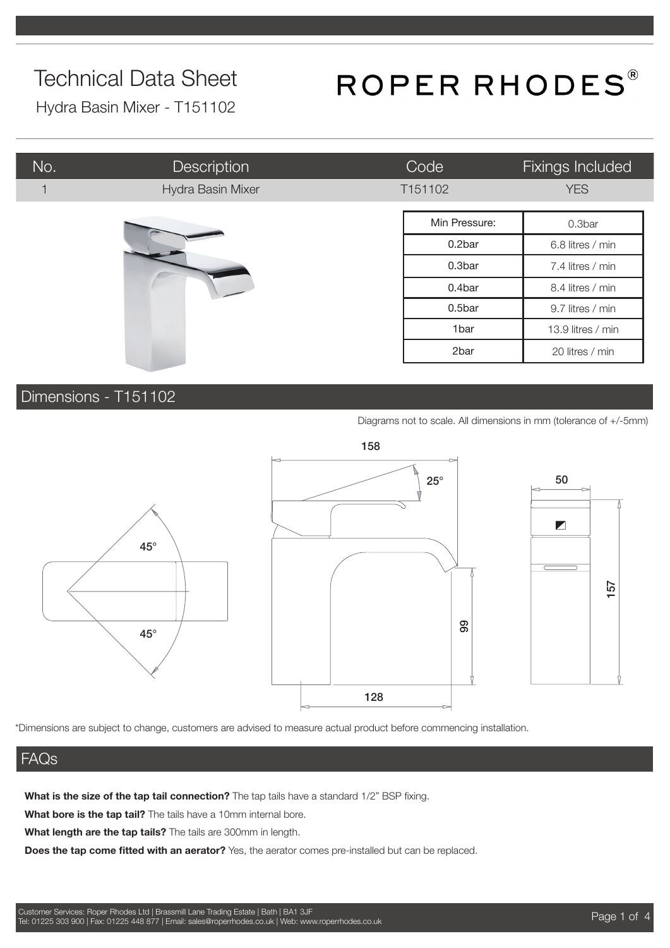# ROPER RHODES®

Hydra Basin Mixer - T151102

| No. | Description       | Code          | Fixings Included  |
|-----|-------------------|---------------|-------------------|
|     | Hydra Basin Mixer | T151102       | <b>YES</b>        |
|     |                   | Min Pressure: | 0.3bar            |
|     |                   | 0.2bar        | 6.8 litres / min  |
|     |                   | 0.3bar        | 7.4 litres / min  |
|     |                   | 0.4bar        | 8.4 litres / min  |
|     |                   | 0.5bar        | 9.7 litres / min  |
|     |                   | 1bar          | 13.9 litres / min |
|     |                   | 2bar          | 20 litres / min   |

### Dimensions - T151102

Diagrams not to scale. All dimensions in mm (tolerance of +/-5mm)



\*Dimensions are subject to change, customers are advised to measure actual product before commencing installation.

### FAQs

**What is the size of the tap tail connection?** The tap tails have a standard 1/2" BSP fixing.

**What bore is the tap tail?** The tails have a 10mm internal bore.

**What length are the tap tails?** The tails are 300mm in length.

**Does the tap come fitted with an aerator?** Yes, the aerator comes pre-installed but can be replaced.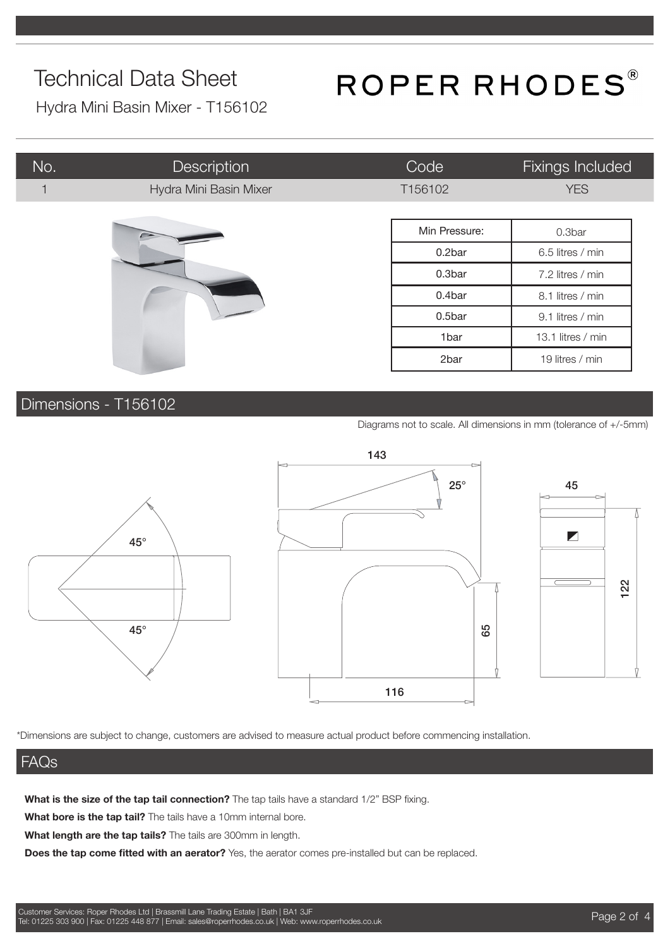# ROPER RHODES®

Hydra Mini Basin Mixer - T156102

| No. | <b>Description</b>     | Code             | <b>Fixings Included</b> |
|-----|------------------------|------------------|-------------------------|
|     | Hydra Mini Basin Mixer | T156102          | <b>YES</b>              |
|     |                        |                  |                         |
|     |                        | Min Pressure:    | 0.3bar                  |
|     |                        | 0.2bar           | 6.5 litres / min        |
|     | 0.3bar                 | 7.2 litres / min |                         |
|     |                        | 0.4bar           | 8.1 litres / min        |
|     |                        | 0.5bar           | 9.1 litres / min        |
|     |                        | 1bar             | 13.1 litres / min       |
|     |                        | 2bar             | 19 litres / min         |

### Dimensions - T156102

Diagrams not to scale. All dimensions in mm (tolerance of +/-5mm)







\*Dimensions are subject to change, customers are advised to measure actual product before commencing installation.

### FAQs

**What is the size of the tap tail connection?** The tap tails have a standard 1/2" BSP fixing.

**What bore is the tap tail?** The tails have a 10mm internal bore.

**What length are the tap tails?** The tails are 300mm in length.

**Does the tap come fitted with an aerator?** Yes, the aerator comes pre-installed but can be replaced.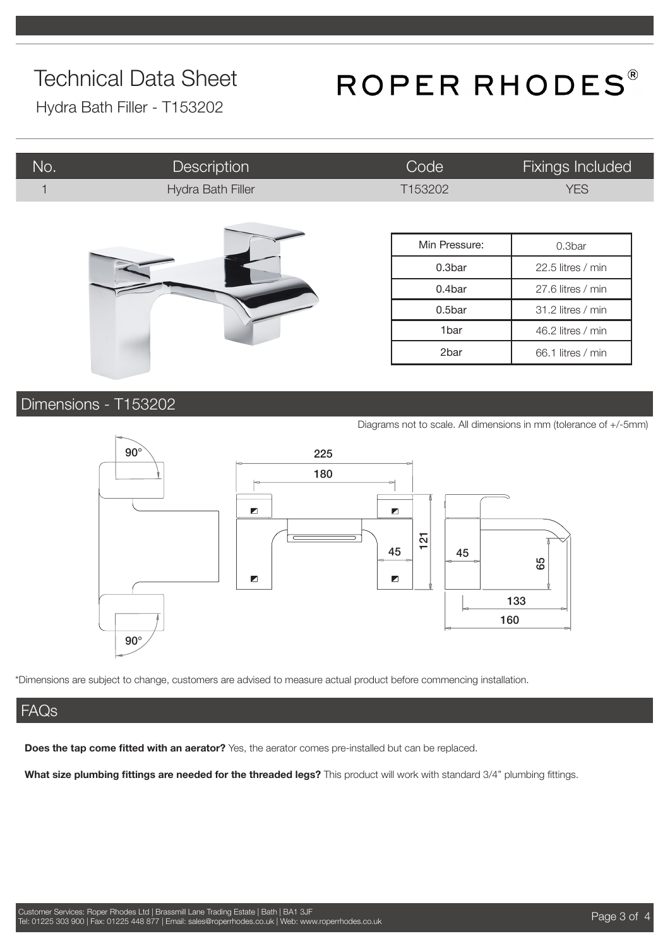# ROPER RHODES®

Hydra Bath Filler - T153202

| No. | <b>Description</b> | Code          | Fixings Included  |
|-----|--------------------|---------------|-------------------|
|     | Hydra Bath Filler  | T153202       | <b>YES</b>        |
|     |                    |               |                   |
|     |                    | Min Pressure: | 0.3bar            |
|     |                    | 0.3bar        | 22.5 litres / min |
|     |                    | 0.4bar        | 27.6 litres / min |
|     |                    | 0.5bar        | 31.2 litres / min |
|     |                    | 1bar          | 46.2 litres / min |
|     |                    | 2bar          | 66.1 litres / min |

### Dimensions - T153202

Diagrams not to scale. All dimensions in mm (tolerance of +/-5mm)



\*Dimensions are subject to change, customers are advised to measure actual product before commencing installation.

### FAQs

**Does the tap come fitted with an aerator?** Yes, the aerator comes pre-installed but can be replaced.

**What size plumbing fittings are needed for the threaded legs?** This product will work with standard 3/4" plumbing fittings.